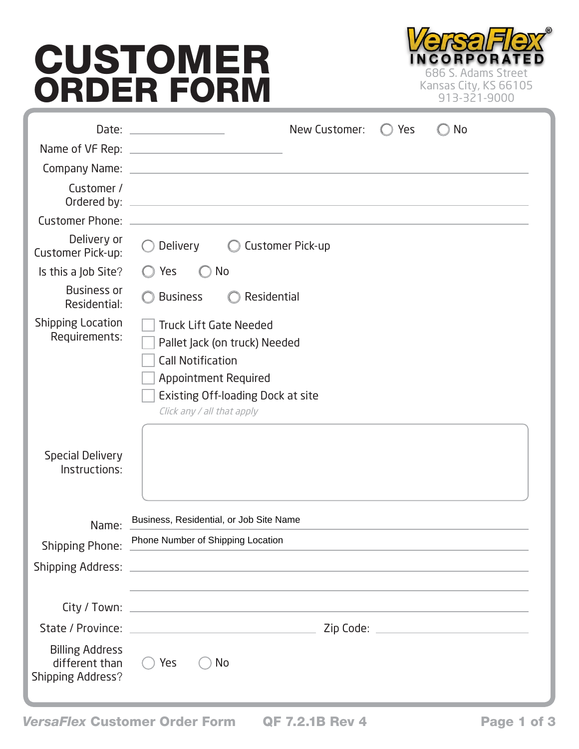## CUSTOMER ORDER FORM



|                                                                      | New Customer:<br>Yes<br>No                                                                                                                                                                                                           |
|----------------------------------------------------------------------|--------------------------------------------------------------------------------------------------------------------------------------------------------------------------------------------------------------------------------------|
|                                                                      |                                                                                                                                                                                                                                      |
|                                                                      |                                                                                                                                                                                                                                      |
| Customer /<br>Ordered by:                                            | <u>and the state of the state of the state of the state of the state of the state of the state of the state of the state of the state of the state of the state of the state of the state of the state of the state of the state</u> |
| <b>Customer Phone:</b>                                               | and the control of the control of the control of the control of the control of the control of the control of the control of the control of the control of the control of the control of the control of the control of the cont       |
| Delivery or<br>Customer Pick-up:                                     | <b>Delivery</b><br><b>Customer Pick-up</b>                                                                                                                                                                                           |
| Is this a Job Site?                                                  | <b>No</b><br>Yes                                                                                                                                                                                                                     |
| <b>Business or</b><br>Residential:                                   | <b>Business</b><br>Residential                                                                                                                                                                                                       |
| <b>Shipping Location</b><br>Requirements:                            | <b>Truck Lift Gate Needed</b><br>Pallet Jack (on truck) Needed<br><b>Call Notification</b><br><b>Appointment Required</b><br>Existing Off-loading Dock at site<br>Click any / all that apply                                         |
| <b>Special Delivery</b><br>Instructions:                             |                                                                                                                                                                                                                                      |
| Name:                                                                | Business, Residential, or Job Site Name                                                                                                                                                                                              |
| <b>Shipping Phone:</b>                                               | Phone Number of Shipping Location                                                                                                                                                                                                    |
|                                                                      |                                                                                                                                                                                                                                      |
|                                                                      |                                                                                                                                                                                                                                      |
|                                                                      | the control of the control of the control of the control of the control of the control of the control of the control of the control of the control of the control of the control of the control of the control of the control        |
|                                                                      |                                                                                                                                                                                                                                      |
| <b>Billing Address</b><br>different than<br><b>Shipping Address?</b> | $\bigcirc$ Yes<br>No                                                                                                                                                                                                                 |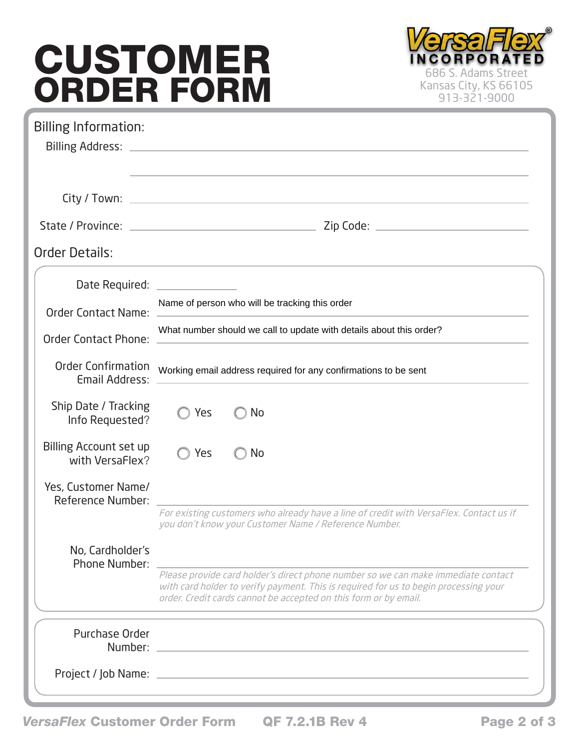## CUSTOMER **ORDER FORM EXADER STRANGES S. Adams Street**



| <b>Billing Information:</b>                     | ,我们也不能在这里的时候,我们也不能会在这里,我们也不能会在这里,我们也不能会在这里的时候,我们也不能会在这里的时候,我们也不能会在这里的时候,我们也不能会在这里                                                                                                                                                             |
|-------------------------------------------------|-----------------------------------------------------------------------------------------------------------------------------------------------------------------------------------------------------------------------------------------------|
|                                                 |                                                                                                                                                                                                                                               |
|                                                 |                                                                                                                                                                                                                                               |
| Order Details:                                  |                                                                                                                                                                                                                                               |
|                                                 |                                                                                                                                                                                                                                               |
| <b>Order Contact Name:</b>                      | Name of person who will be tracking this order                                                                                                                                                                                                |
| <b>Order Contact Phone:</b>                     | What number should we call to update with details about this order?                                                                                                                                                                           |
| <b>Order Confirmation</b><br>Email Address:     | Working email address required for any confirmations to be sent                                                                                                                                                                               |
| Ship Date / Tracking<br>Info Requested?         | Yes<br>No                                                                                                                                                                                                                                     |
| Billing Account set up<br>with VersaFlex?       | Yes<br>No                                                                                                                                                                                                                                     |
| Yes, Customer Name/<br><b>Reference Number:</b> |                                                                                                                                                                                                                                               |
|                                                 | For existing customers who already have a line of credit with VersaFlex. Contact us if<br>you don't know your Customer Name / Reference Number.                                                                                               |
| No, Cardholder's<br>Phone Number:               |                                                                                                                                                                                                                                               |
|                                                 | Please provide card holder's direct phone number so we can make immediate contact<br>with card holder to verify payment. This is required for us to begin processing your<br>order. Credit cards cannot be accepted on this form or by email. |
| Purchase Order                                  | Number: Number and the state of the state of the state of the state of the state of the state of the state of the state of the state of the state of the state of the state of the state of the state of the state of the stat                |
|                                                 |                                                                                                                                                                                                                                               |